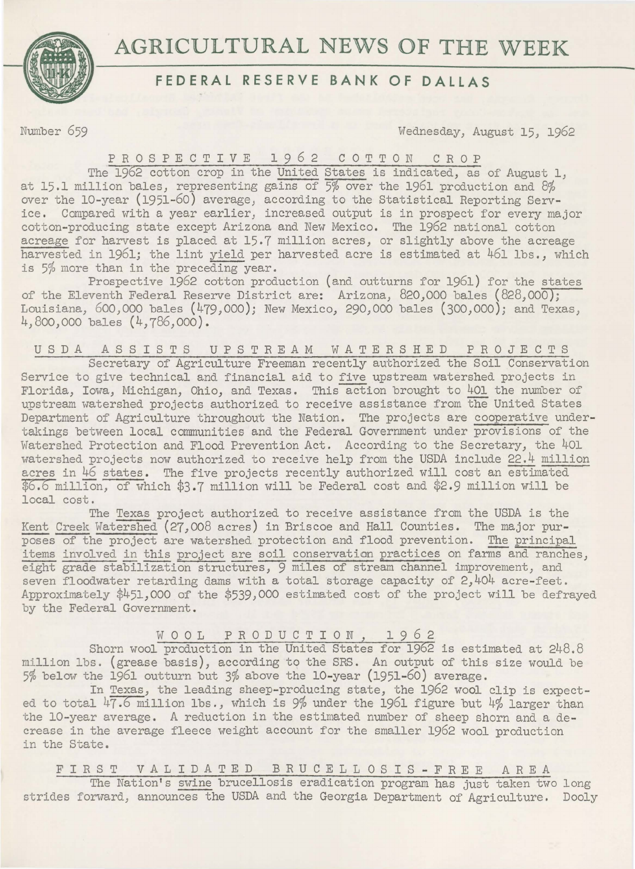

# **AGRICULTURAL** NEWS **OF THE** WEEK

# **FEDERAL RESERVE BANK OF DALLAS**

Number 659 Wednesday, August 15, 1962

## PROSPECTIVE 1962 COTTON CROP

The 1962 cotton crop in the United States is indicated, as of August 1. at 15.1 million bales) representing gains of 5% over the 1961 production and 8% over the 10-year (1951-60) average, according to the Statistical Reporting Service. Compared with a year earlier, increased output is in prospect for every major cotton-producing state except Arizona and New Mexico. The 1962 national cotton acreage for harvest is placed at 15.7 million acres, or slightly above the acreage harvested in 196lj the lint yield per harvested acre is estimated at 461 lbs., which is 5% more than in the preceding year.

Prospective 1962 cotton production (and outturns for 1961) for the states of the Eleventh Federal Reserve District are: Arizona, 820,000 bales (828,000); Louisiana, 600,000 bales (479,000); New Mexico, 290,000 bales (300,000); and Texas, 4,800,000 bales (4,786,000).

U S D A A S S I S T S UPSTREAM WATERSHED PROJECTS Secretary of Agriculture Freeman recently authorized the Soil Conservation Service to give technical and financial aid to five upstream watershed projects in Florida, Iowa, Michigan, Ohio, and Texas. This action brought to 401 the number of upstream watershed projects authorized to receive assistance from the United States Department of Agriculture throughout the Nation. The projects are cooperative undertakings between local communities and the Federal Government under provisions of the Watershed Protection and Flood Prevention Act. According to the Secretary, the 401 watershed projects now authorized to receive help from the USDA include 22.4 million acres in 46 states. The five projects recently authorized will cost an estimated  $$6.6$  million, of which  $$3.7$  million will be Federal cost and  $$2.9$  million will be local cost.

The Texas project authorized to receive assistance from the USDA is the Kent Creek Watershed (27,008 acres) in Briscoe and Hall Counties. The major purposes of the project are watershed protection and flood prevention. The principal items involved in this project are soil conservation practices on farms and ranches, eight grade stabilization structures, 9 miles of stream channel improvement, and seven floodwater retarding dams with a total storage capacity of 2,404 acre-feet. Approximately  $\frac{451,000}{2}$  of the  $\frac{4539,000}{2}$  estimated cost of the project will be defrayed by the Federal Government.

WOOL PRODUCTION, 1962

Shorn wool production in the United States for 1962 is estimated at 248.8 million lbs. (grease basis), according to the SRS. An output of this size would be 5% below the 1961 outturn but 3% above the 10-year (1951-60) average.

In Texas, the leading sheep-producing state, the 1962 wool clip is expected to total  $47.6$  million lbs., which is 9% under the 1961 figure but  $4\%$  larger than the 10-year average. A reduction in the estimated number of sheep shorn and a decrease in the average fleece weight account for the smaller 1962 wool production in the State.

FIRST VALIDATED BRUCELLOSIS-FREE AREA

The Nation's swine brucellosis eradication program has just taken two long strides forward, announces the USDA and the Georgia Department of Agriculture. Dooly